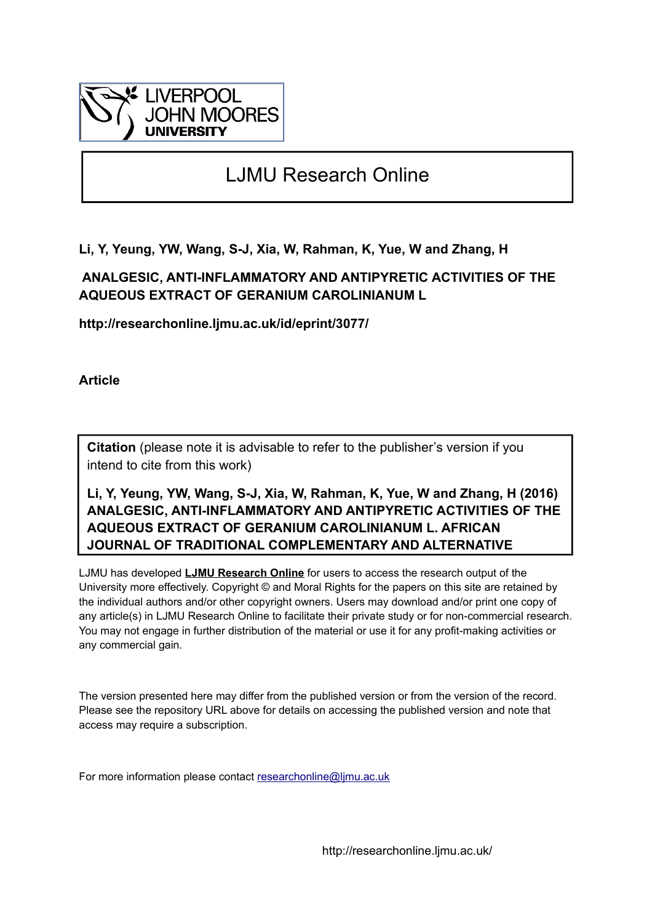

# LJMU Research Online

**Li, Y, Yeung, YW, Wang, S-J, Xia, W, Rahman, K, Yue, W and Zhang, H**

## **ANALGESIC, ANTI-INFLAMMATORY AND ANTIPYRETIC ACTIVITIES OF THE AQUEOUS EXTRACT OF GERANIUM CAROLINIANUM L**

**http://researchonline.ljmu.ac.uk/id/eprint/3077/**

**Article**

**Citation** (please note it is advisable to refer to the publisher's version if you intend to cite from this work)

**Li, Y, Yeung, YW, Wang, S-J, Xia, W, Rahman, K, Yue, W and Zhang, H (2016) ANALGESIC, ANTI-INFLAMMATORY AND ANTIPYRETIC ACTIVITIES OF THE AQUEOUS EXTRACT OF GERANIUM CAROLINIANUM L. AFRICAN JOURNAL OF TRADITIONAL COMPLEMENTARY AND ALTERNATIVE** 

LJMU has developed **[LJMU Research Online](http://researchonline.ljmu.ac.uk/)** for users to access the research output of the University more effectively. Copyright © and Moral Rights for the papers on this site are retained by the individual authors and/or other copyright owners. Users may download and/or print one copy of any article(s) in LJMU Research Online to facilitate their private study or for non-commercial research. You may not engage in further distribution of the material or use it for any profit-making activities or any commercial gain.

The version presented here may differ from the published version or from the version of the record. Please see the repository URL above for details on accessing the published version and note that access may require a subscription.

For more information please contact [researchonline@ljmu.ac.uk](mailto:researchonline@ljmu.ac.uk)

http://researchonline.ljmu.ac.uk/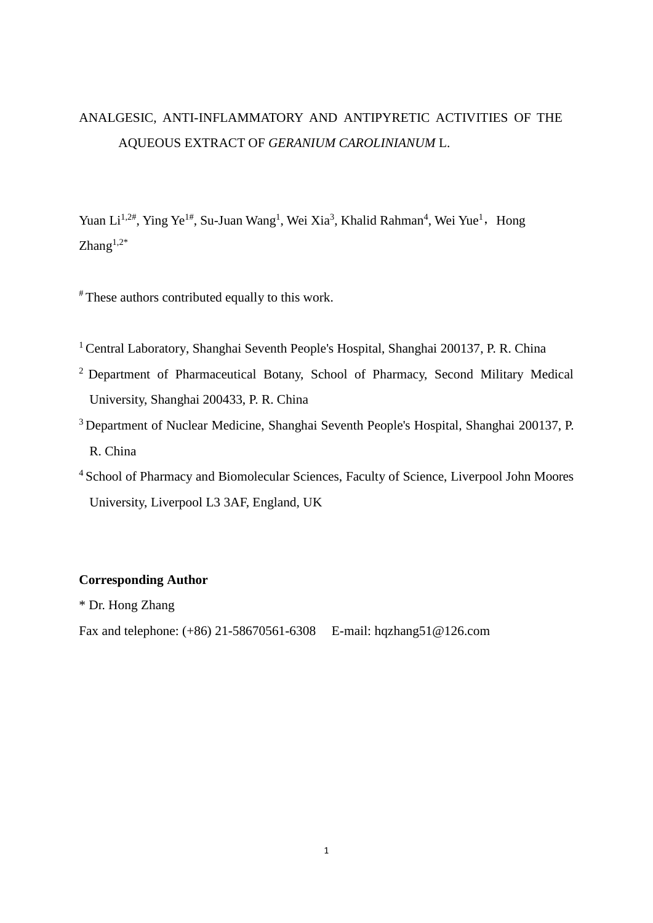## ANALGESIC, ANTI-INFLAMMATORY AND ANTIPYRETIC ACTIVITIES OF THE AQUEOUS EXTRACT OF *GERANIUM CAROLINIANUM* L.

Yuan Li<sup>1,2#</sup>, Ying Ye<sup>1#</sup>, Su-Juan Wang<sup>1</sup>, Wei Xia<sup>3</sup>, Khalid Rahman<sup>4</sup>, Wei Yue<sup>1</sup>, Hong Zhang $1,2^*$ 

# These authors contributed equally to this work.

- <sup>1</sup> Central Laboratory, Shanghai Seventh People's Hospital, Shanghai 200137, P. R. China
- <sup>2</sup> Department of Pharmaceutical Botany, School of Pharmacy, Second Military Medical University, Shanghai 200433, P. R. China
- <sup>3</sup> Department of Nuclear Medicine, Shanghai Seventh People's Hospital, Shanghai 200137, P. R. China
- <sup>4</sup> School of Pharmacy and Biomolecular Sciences, Faculty of Science, Liverpool John Moores University, Liverpool L3 3AF, England, UK

## **Corresponding Author**

\* Dr. Hong Zhang

Fax and telephone: (+86) 21-58670561-6308 E-mail: hqzhang51@126.com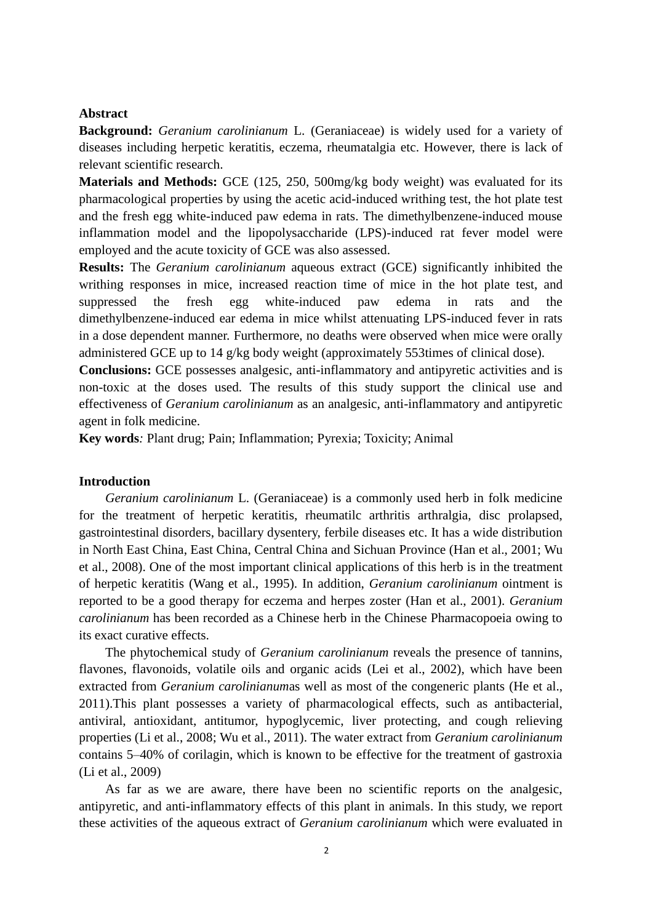## **Abstract**

**Background:** *Geranium carolinianum* L. (Geraniaceae) is widely used for a variety of diseases including herpetic keratitis, eczema, rheumatalgia etc. However, there is lack of relevant scientific research.

**Materials and Methods:** GCE (125, 250, 500mg/kg body weight) was evaluated for its pharmacological properties by using the acetic acid-induced writhing test, the hot plate test and the fresh egg white-induced paw edema in rats. The dimethylbenzene-induced mouse inflammation model and the lipopolysaccharide (LPS)-induced rat fever model were employed and the acute toxicity of GCE was also assessed.

**Results:** The *Geranium carolinianum* aqueous extract (GCE) significantly inhibited the writhing responses in mice, increased reaction time of mice in the hot plate test, and suppressed the fresh egg white-induced paw edema in rats and the dimethylbenzene-induced ear edema in mice whilst attenuating LPS-induced fever in rats in a dose dependent manner. Furthermore, no deaths were observed when mice were orally administered GCE up to 14 g/kg body weight (approximately 553times of clinical dose).

**Conclusions:** GCE possesses analgesic, anti-inflammatory and antipyretic activities and is non-toxic at the doses used. The results of this study support the clinical use and effectiveness of *Geranium carolinianum* as an analgesic, anti-inflammatory and antipyretic agent in folk medicine.

**Key words***:* Plant drug; Pain; Inflammation; Pyrexia; Toxicity; Animal

## **Introduction**

*Geranium carolinianum* L. (Geraniaceae) is a commonly used herb in folk medicine for the treatment of herpetic keratitis, rheumatilc arthritis arthralgia, disc prolapsed, gastrointestinal disorders, bacillary dysentery, ferbile diseases etc. It has a wide distribution in North East China, East China, Central China and Sichuan Province (Han et al., 2001; Wu et al., 2008). One of the most important clinical applications of this herb is in the treatment of herpetic keratitis (Wang et al., 1995). In addition, *Geranium carolinianum* ointment is reported to be a good therapy for eczema and herpes zoster [\(Han et al., 2001\)](#page-8-0). *Geranium carolinianum* has been recorded as a Chinese herb in the Chinese Pharmacopoeia owing to its exact curative effects.

The phytochemical study of *Geranium carolinianum* reveals the presence of tannins, flavones, flavonoids, volatile oils and organic acids [\(Lei et al., 2002\)](#page-8-1), which have been extracted from *Geranium carolinianum*as well as most of the congeneric plants [\(He et al.,](#page-8-2)  [2011\)](#page-8-2).This plant possesses a variety of pharmacological effects, such as antibacterial, antiviral, antioxidant, antitumor, hypoglycemic, liver protecting, and cough relieving properties [\(Li et al., 2008;](#page-8-3) [Wu et al., 2011\)](#page-9-0). The water extract from *Geranium carolinianum* contains 5–40% of corilagin, which is known to be effective for the treatment of gastroxia (Li et al., 2009)

As far as we are aware, there have been no scientific reports on the analgesic, antipyretic, and anti-inflammatory effects of this plant in animals. In this study, we report these activities of the aqueous extract of *Geranium carolinianum* which were evaluated in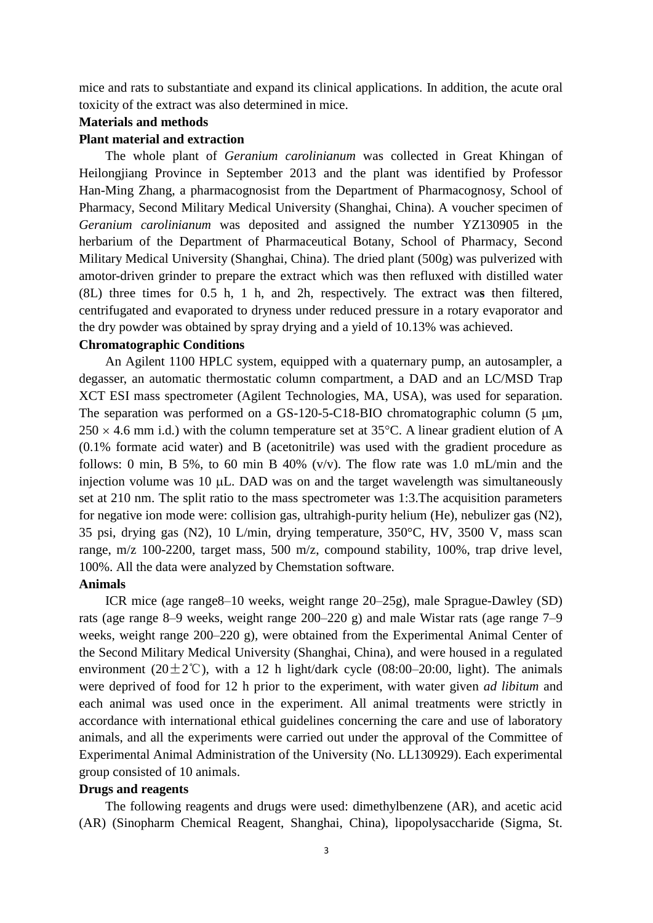mice and rats to substantiate and expand its clinical applications. In addition, the acute oral toxicity of the extract was also determined in mice.

## **Materials and methods**

## **Plant material and extraction**

The whole plant of *Geranium carolinianum* was collected in [Great](http://dict.youdao.com/search?q=Great&keyfrom=E2Ctranslation) [Khingan](http://dict.youdao.com/w/khingan/) of Heilongjiang Province in September 2013 and the plant was identified by Professor Han-Ming Zhang, a pharmacognosist from the Department of Pharmacognosy, School of Pharmacy, Second Military Medical University (Shanghai, China). A voucher specimen of *Geranium carolinianum* was deposited and assigned the number YZ130905 in the herbarium of the Department of Pharmaceutical Botany, School of Pharmacy, Second Military Medical University (Shanghai, China). The dried plant (500g) was pulverized with amotor-driven grinder to prepare the extract which was then refluxed with distilled water (8L) three times for 0.5 h, 1 h, and 2h, respectively. The extract wa**s** then filtered, centrifugated and evaporated to dryness under reduced pressure in a rotary evaporator and the dry powder was obtained by spray drying and a yield of 10.13% was achieved.

## **Chromatographic Conditions**

An Agilent 1100 HPLC system, equipped with a quaternary pump, an autosampler, a degasser, an automatic thermostatic column compartment, a DAD and an LC/MSD Trap XCT ESI mass spectrometer (Agilent Technologies, MA, USA), was used for separation. The separation was performed on a  $GS-120-5-C18-BIO$  chromatographic column  $(5 \mu m, )$  $250 \times 4.6$  mm i.d.) with the column temperature set at 35 °C. A linear gradient elution of A (0.1% formate acid water) and B (acetonitrile) was used with the gradient procedure as follows: 0 min, B 5%, to 60 min B 40% (v/v). The flow rate was 1.0 mL/min and the injection volume was  $10 \mu L$ . DAD was on and the target wavelength was simultaneously set at 210 nm. The split ratio to the mass spectrometer was 1:3.The acquisition parameters for negative ion mode were: collision gas, ultrahigh-purity helium (He), nebulizer gas (N2), 35 psi, drying gas (N2), 10 L/min, drying temperature, 350°C, HV, 3500 V, mass scan range, m/z 100-2200, target mass, 500 m/z, compound stability, 100%, trap drive level, 100%. All the data were analyzed by Chemstation software.

### **Animals**

ICR mice (age range8–10 weeks, weight range 20–25g), male Sprague-Dawley (SD) rats (age range 8–9 weeks, weight range 200–220 g) and male Wistar rats (age range 7–9 weeks, weight range 200–220 g), were obtained from the Experimental Animal Center of the Second Military Medical University (Shanghai, China), and were housed in a regulated environment (20 $\pm$ 2°C), with a 12 h light/dark cycle (08:00–20:00, light). The animals were deprived of food for 12 h prior to the experiment, with water given *ad libitum* and each animal was used once in the experiment. All animal treatments were strictly in accordance with international ethical guidelines concerning the care and use of laboratory animals, and all the experiments were carried out under the approval of the Committee of Experimental Animal Administration of the University (No. LL130929). Each experimental group consisted of 10 animals.

## **Drugs and reagents**

The following reagents and drugs were used: dimethylbenzene (AR), and acetic acid (AR) (Sinopharm Chemical Reagent, Shanghai, China), lipopolysaccharide (Sigma, St.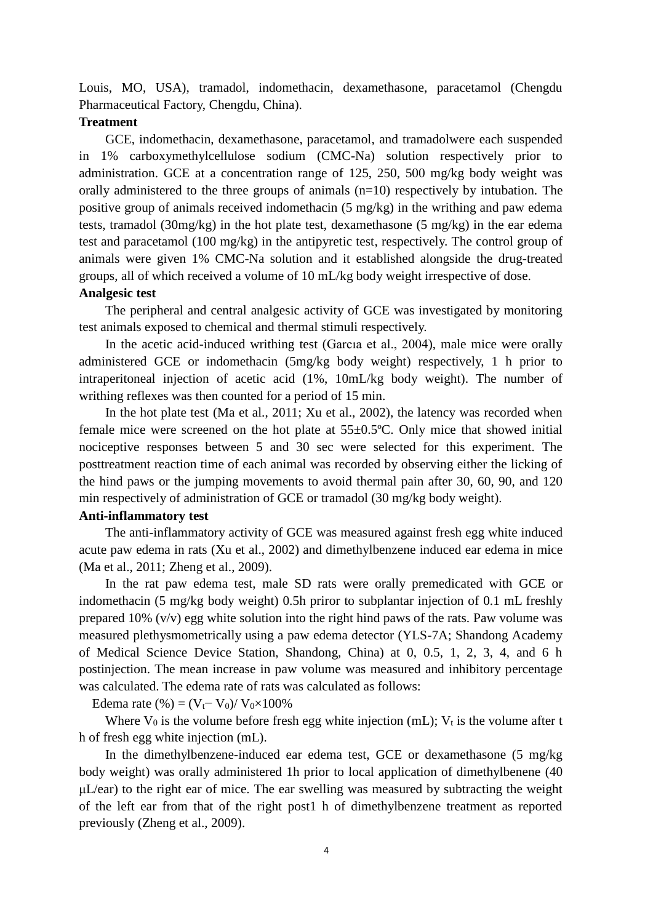Louis, MO, USA), tramadol, indomethacin, dexamethasone, paracetamol (Chengdu Pharmaceutical Factory, Chengdu, China).

### **Treatment**

GCE, indomethacin, dexamethasone, paracetamol, and tramadolwere each suspended in 1% carboxymethylcellulose sodium (CMC-Na) solution respectively prior to administration. GCE at a concentration range of 125, 250, 500 mg/kg body weight was orally administered to the three groups of animals  $(n=10)$  respectively by intubation. The positive group of animals received indomethacin (5 mg/kg) in the writhing and paw edema tests, tramadol (30mg/kg) in the hot plate test, dexamethasone (5 mg/kg) in the ear edema test and paracetamol (100 mg/kg) in the antipyretic test, respectively. The control group of animals were given 1% CMC-Na solution and it established alongside the drug-treated groups, all of which received a volume of 10 mL/kg body weight irrespective of dose.

## **Analgesic test**

The peripheral and central analgesic activity of GCE was investigated by monitoring test animals exposed to chemical and thermal stimuli respectively.

In the acetic acid-induced writhing test [\(Garcıa et al., 2004\)](#page-8-4), male mice were orally administered GCE or indomethacin (5mg/kg body weight) respectively, 1 h prior to intraperitoneal injection of acetic acid (1%, 10mL/kg body weight). The number of writhing reflexes was then counted for a period of 15 min.

In the hot plate test (Ma et al., 2011; Xu et al., 2002), the latency was recorded when female mice were screened on the hot plate at 55±0.5ºC. Only mice that showed initial nociceptive responses between 5 and 30 sec were selected for this experiment. The posttreatment reaction time of each animal was recorded by observing either the licking of the hind paws or the jumping movements to avoid thermal pain after 30, 60, 90, and 120 min respectively of administration of GCE or tramadol (30 mg/kg body weight).

## **Anti-inflammatory test**

The anti-inflammatory activity of GCE was measured against fresh egg white induced acute paw edema in rats (Xu et al., 2002) and dimethylbenzene induced ear edema in mice [\(Ma et al., 2011;](#page-9-1) [Zheng et al., 2009\)](#page-9-2).

In the rat paw edema test, male SD rats were orally premedicated with GCE or indomethacin (5 mg/kg body weight) 0.5h priror to subplantar injection of 0.1 mL freshly prepared 10% (v/v) egg white solution into the right hind paws of the rats. Paw volume was measured plethysmometrically using a paw edema detector (YLS-7A; Shandong Academy of Medical Science Device Station, Shandong, China) at 0, 0.5, 1, 2, 3, 4, and 6 h postinjection. The mean increase in paw volume was measured and inhibitory percentage was calculated. The edema rate of rats was calculated as follows:

Edema rate  $(\% ) = (V_t - V_0) / V_0 \times 100\%$ 

Where  $V_0$  is the volume before fresh egg white injection (mL);  $V_t$  is the volume after t h of fresh egg white injection (mL).

In the dimethylbenzene-induced ear edema test, GCE or dexamethasone (5 mg/kg body weight) was orally administered 1h prior to local application of dimethylbenene (40 μL/ear) to the right ear of mice. The ear swelling was measured by subtracting the weight of the left ear from that of the right post1 h of dimethylbenzene treatment as reported previously [\(Zheng et al., 2009\)](#page-9-2).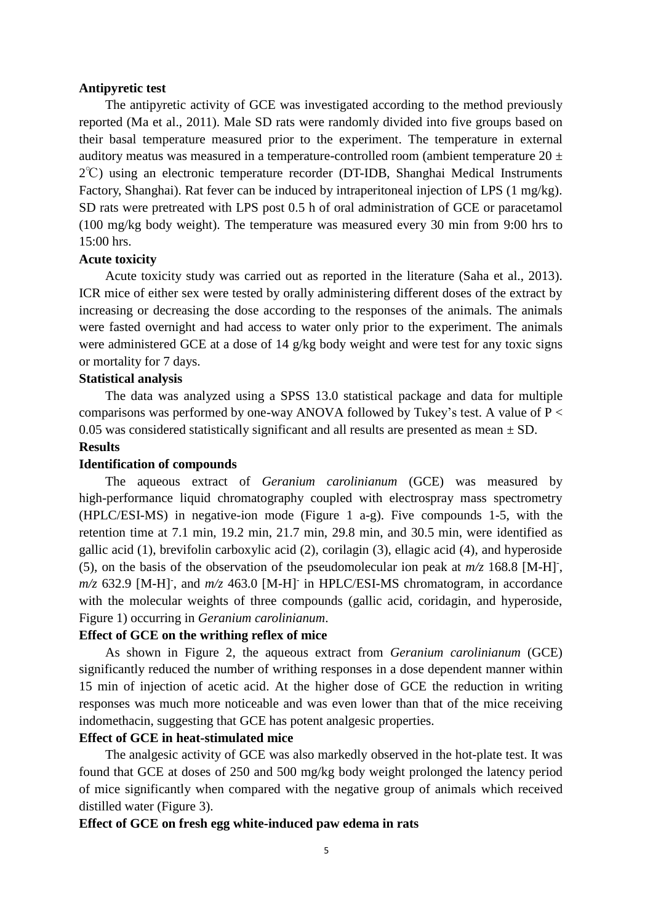## **Antipyretic test**

The antipyretic activity of GCE was investigated according to the method previously reported [\(Ma et al., 2011\)](#page-9-1). Male SD rats were randomly divided into five groups based on their basal temperature measured prior to the experiment. The temperature in external auditory meatus was measured in a temperature-controlled room (ambient temperature  $20 \pm$ 2℃) using an electronic temperature recorder (DT-IDB, Shanghai Medical Instruments Factory, Shanghai). Rat fever can be induced by intraperitoneal injection of LPS (1 mg/kg). SD rats were pretreated with LPS post 0.5 h of oral administration of GCE or paracetamol (100 mg/kg body weight). The temperature was measured every 30 min from 9:00 hrs to 15:00 hrs.

## **Acute toxicity**

Acute toxicity study was carried out as reported in the literature [\(Saha et al., 2013\)](#page-9-3). ICR mice of either sex were tested by orally administering different doses of the extract by increasing or decreasing the dose according to the responses of the animals. The animals were fasted overnight and had access to water only prior to the experiment. The animals were administered GCE at a dose of 14 g/kg body weight and were test for any toxic signs or mortality for 7 days.

## **Statistical analysis**

The data was analyzed using a SPSS 13.0 statistical package and data for multiple comparisons was performed by one-way ANOVA followed by Tukey's test. A value of  $P \lt \theta$ 0.05 was considered statistically significant and all results are presented as mean  $\pm$  SD.

#### **Results**

#### **Identification of compounds**

The aqueous extract of *Geranium carolinianum* (GCE) was measured by high-performance liquid chromatography coupled with electrospray mass spectrometry (HPLC/ESI-MS) in negative-ion mode (Figure 1 a-g). Five compounds 1-5, with the retention time at 7.1 min, 19.2 min, 21.7 min, 29.8 min, and 30.5 min, were identified as gallic acid (1), brevifolin carboxylic acid (2), corilagin (3), ellagic acid (4), and hyperoside (5), on the basis of the observation of the pseudomolecular ion peak at  $m/z$  168.8 [M-H]<sup>-</sup>,  $m/z$  632.9 [M-H]<sup>-</sup>, and  $m/z$  463.0 [M-H]<sup>-</sup> in HPLC/ESI-MS chromatogram, in accordance with the molecular weights of three compounds (gallic acid, coridagin, and hyperoside, Figure 1) occurring in *Geranium carolinianum*.

### **Effect of GCE on the writhing reflex of mice**

As shown in Figure 2, the aqueous extract from *Geranium carolinianum* (GCE) significantly reduced the number of writhing responses in a dose dependent manner within 15 min of injection of acetic acid. At the higher dose of GCE the reduction in writing responses was much more noticeable and was even lower than that of the mice receiving indomethacin, suggesting that GCE has potent analgesic properties.

## **Effect of GCE in heat-stimulated mice**

The analgesic activity of GCE was also markedly observed in the hot-plate test. It was found that GCE at doses of 250 and 500 mg/kg body weight prolonged the latency period of mice significantly when compared with the negative group of animals which received distilled water (Figure 3).

#### **Effect of GCE on fresh egg white-induced paw edema in rats**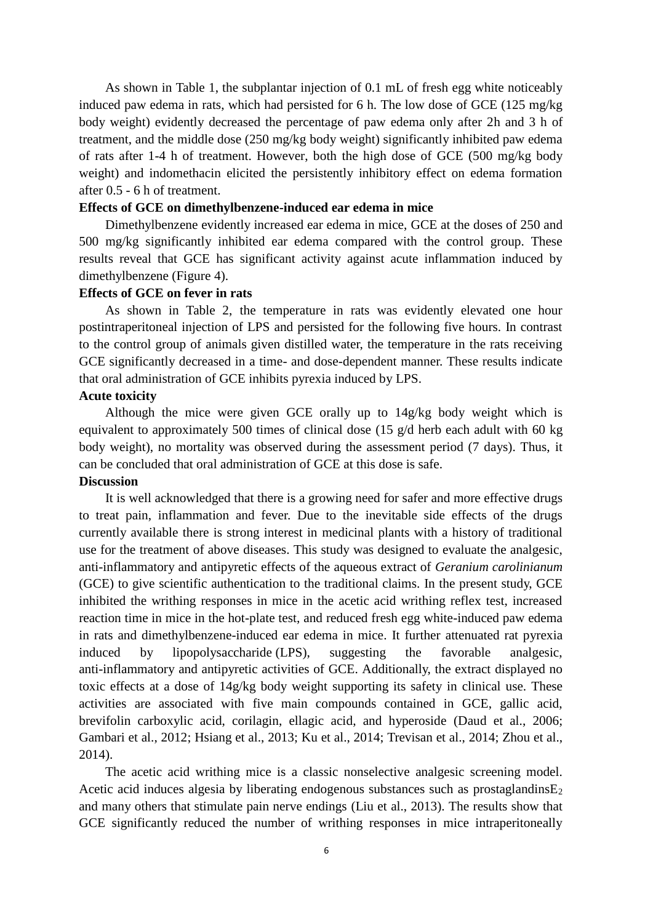As shown in Table 1, the subplantar injection of 0.1 mL of fresh egg white noticeably induced paw edema in rats, which had persisted for 6 h. The low dose of GCE (125 mg/kg body weight) evidently decreased the percentage of paw edema only after 2h and 3 h of treatment, and the middle dose (250 mg/kg body weight) significantly inhibited paw edema of rats after 1-4 h of treatment. However, both the high dose of GCE (500 mg/kg body weight) and indomethacin elicited the persistently inhibitory effect on edema formation after 0.5 - 6 h of treatment.

#### **Effects of GCE on dimethylbenzene-induced ear edema in mice**

Dimethylbenzene evidently increased ear edema in mice, GCE at the doses of 250 and 500 mg/kg significantly inhibited ear edema compared with the control group. These results reveal that GCE has significant activity against acute inflammation induced by dimethylbenzene (Figure 4).

## **Effects of GCE on fever in rats**

As shown in Table 2, the temperature in rats was evidently elevated one hour postintraperitoneal injection of LPS and persisted for the following five hours. In contrast to the control group of animals given distilled water, the temperature in the rats receiving GCE significantly decreased in a time- and dose-dependent manner. These results indicate that oral administration of GCE inhibits pyrexia induced by LPS.

#### **Acute toxicity**

Although the mice were given GCE orally up to 14g/kg body weight which is equivalent to approximately 500 times of clinical dose (15  $g/d$  herb each adult with 60 kg body weight), no mortality was observed during the assessment period (7 days). Thus, it can be concluded that oral administration of GCE at this dose is safe.

## **Discussion**

It is well acknowledged that there is a growing need for safer and more effective drugs to treat pain, inflammation and fever. Due to the inevitable side effects of the drugs currently available there is strong interest in medicinal plants with a history of traditional use for the treatment of above diseases. This study was designed to evaluate the analgesic, anti-inflammatory and antipyretic effects of the aqueous extract of *Geranium carolinianum* (GCE) to give scientific authentication to the traditional claims. In the present study, GCE inhibited the writhing responses in mice in the acetic acid writhing reflex test, increased reaction time in mice in the hot-plate test, and reduced fresh egg white-induced paw edema in rats and dimethylbenzene-induced ear edema in mice. It further attenuated rat pyrexia induced by lipopolysaccharide (LPS), suggesting the favorable analgesic, anti-inflammatory and antipyretic activities of GCE. Additionally, the extract displayed no toxic effects at a dose of 14g/kg body weight supporting its safety in clinical use. These activities are associated with five main compounds contained in GCE, gallic acid, brevifolin carboxylic acid, corilagin, ellagic acid, and hyperoside [\(Daud et al., 2006;](#page-8-5) [Gambari et al., 2012;](#page-8-6) [Hsiang et al., 2013;](#page-8-7) [Ku et al., 2014;](#page-8-8) [Trevisan et al., 2014;](#page-9-4) [Zhou et al.,](#page-9-5)  [2014\)](#page-9-5).

The acetic acid writhing mice is a classic nonselective analgesic screening model. Acetic acid induces algesia by liberating endogenous substances such as prostaglandins $E_2$ and many others that stimulate pain nerve endings [\(Liu et al., 2013\)](#page-8-9). The results show that GCE significantly reduced the number of writhing responses in mice intraperitoneally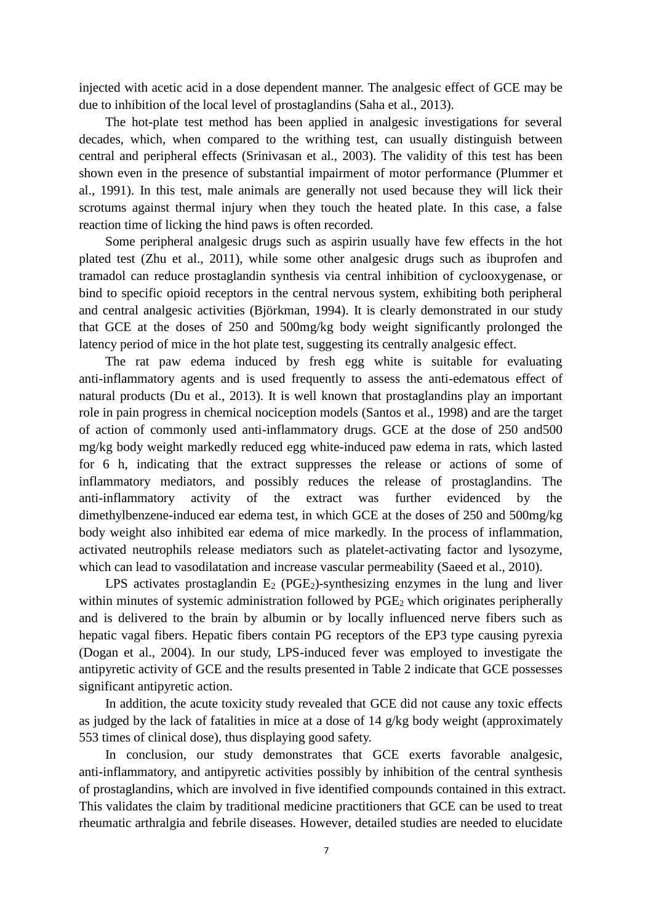injected with acetic acid in a dose dependent manner. The analgesic effect of GCE may be due to inhibition of the local level of prostaglandins [\(Saha et al., 2013\)](#page-9-3).

The hot-plate test method has been applied in analgesic investigations for several decades, which, when compared to the writhing test, can usually distinguish between central and peripheral effects [\(Srinivasan et al., 2003\)](#page-9-6). The validity of this test has been shown even in the presence of substantial impairment of motor performance [\(Plummer et](#page-9-7)  [al., 1991\)](#page-9-7). In this test, male animals are generally not used because they will lick their scrotums against thermal injury when they touch the heated plate. In this case, a false reaction time of licking the hind paws is often recorded.

Some peripheral analgesic drugs such as aspirin usually have few effects in the hot plated test [\(Zhu et al., 2011\)](#page-9-8), while some other analgesic drugs such as ibuprofen and tramadol can reduce prostaglandin synthesis via central inhibition of cyclooxygenase, or bind to specific opioid receptors in the central nervous system, exhibiting both peripheral and central analgesic activities [\(Björkman, 1994\)](#page-8-10). It is clearly demonstrated in our study that GCE at the doses of 250 and 500mg/kg body weight significantly prolonged the latency period of mice in the hot plate test, suggesting its centrally analgesic effect.

The rat paw edema induced by fresh egg white is suitable for evaluating anti-inflammatory agents and is used frequently to assess the anti-edematous effect of natural products [\(Du et al., 2013\)](#page-8-11). It is well known that prostaglandins play an important role in pain progress in chemical nociception models [\(Santos et al., 1998\)](#page-9-9) and are the target of action of commonly used anti-inflammatory drugs. GCE at the dose of 250 and500 mg/kg body weight markedly reduced egg white-induced paw edema in rats, which lasted for 6 h, indicating that the extract suppresses the release or actions of some of inflammatory mediators, and possibly reduces the release of prostaglandins. The anti-inflammatory activity of the extract was further evidenced by the dimethylbenzene-induced ear edema test, in which GCE at the doses of 250 and 500mg/kg body weight also inhibited ear edema of mice markedly. In the process of inflammation, activated neutrophils release mediators such as platelet-activating factor and lysozyme, which can lead to vasodilatation and increase vascular permeability [\(Saeed et al., 2010\)](#page-9-10).

LPS activates prostaglandin  $E_2$  (PGE<sub>2</sub>)-synthesizing enzymes in the lung and liver within minutes of systemic administration followed by PGE<sub>2</sub> which originates peripherally and is delivered to the brain by albumin or by locally influenced nerve fibers such as hepatic vagal fibers. Hepatic fibers contain PG receptors of the EP3 type causing pyrexia [\(Dogan et al., 2004\)](#page-8-12). In our study, LPS-induced fever was employed to investigate the antipyretic activity of GCE and the results presented in Table 2 indicate that GCE possesses significant antipyretic action.

In addition, the acute toxicity study revealed that GCE did not cause any toxic effects as judged by the lack of fatalities in mice at a dose of 14 g/kg body weight (approximately 553 times of clinical dose), thus displaying good safety.

In conclusion, our study demonstrates that GCE exerts favorable analgesic, anti-inflammatory, and antipyretic activities possibly by inhibition of the central synthesis of prostaglandins, which are involved in five identified compounds contained in this extract. This validates the claim by traditional medicine practitioners that GCE can be used to treat rheumatic arthralgia and febrile diseases. However, detailed studies are needed to elucidate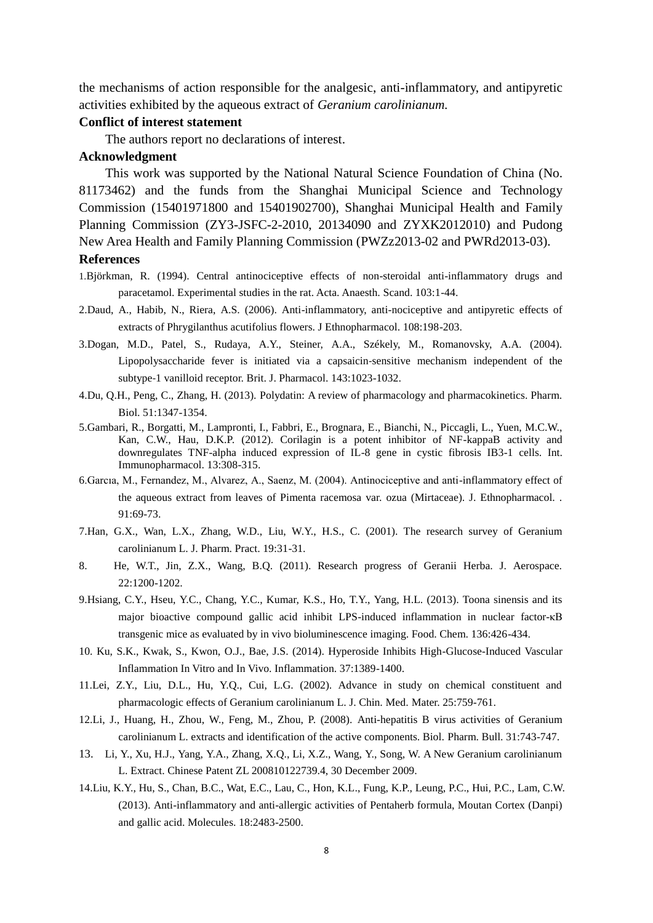the mechanisms of action responsible for the analgesic, anti-inflammatory, and antipyretic activities exhibited by the aqueous extract of *Geranium carolinianum.*

#### **Conflict of interest statement**

The authors report no declarations of interest.

#### **Acknowledgment**

This work was supported by the National Natural Science Foundation of China (No. 81173462) and the funds from the Shanghai Municipal Science and Technology Commission (15401971800 and 15401902700), Shanghai Municipal Health and Family Planning Commission (ZY3-JSFC-2-2010, 20134090 and ZYXK2012010) and Pudong New Area Health and Family Planning Commission (PWZz2013-02 and PWRd2013-03).

## **References**

- <span id="page-8-10"></span>1.Björkman, R. (1994). Central antinociceptive effects of non-steroidal anti-inflammatory drugs and paracetamol. Experimental studies in the rat. Acta. Anaesth. Scand. 103:1-44.
- <span id="page-8-5"></span>2.Daud, A., Habib, N., Riera, A.S. (2006). Anti-inflammatory, anti-nociceptive and antipyretic effects of extracts of Phrygilanthus acutifolius flowers. J Ethnopharmacol. 108:198-203.
- <span id="page-8-12"></span>3.Dogan, M.D., Patel, S., Rudaya, A.Y., Steiner, A.A., Székely, M., Romanovsky, A.A. (2004). Lipopolysaccharide fever is initiated via a capsaicin‐sensitive mechanism independent of the subtype‐1 vanilloid receptor. Brit. J. Pharmacol. 143:1023-1032.
- <span id="page-8-11"></span>4.Du, Q.H., Peng, C., Zhang, H. (2013). Polydatin: A review of pharmacology and pharmacokinetics. Pharm. Biol. 51:1347-1354.
- <span id="page-8-6"></span>5.Gambari, R., Borgatti, M., Lampronti, I., Fabbri, E., Brognara, E., Bianchi, N., Piccagli, L., Yuen, M.C.W., Kan, C.W., Hau, D.K.P. (2012). Corilagin is a potent inhibitor of NF-kappaB activity and downregulates TNF-alpha induced expression of IL-8 gene in cystic fibrosis IB3-1 cells. Int. Immunopharmacol. 13:308-315.
- <span id="page-8-4"></span>6.Garcıa, M., Fernandez, M., Alvarez, A., Saenz, M. (2004). Antinociceptive and anti-inflammatory effect of the aqueous extract from leaves of Pimenta racemosa var. ozua (Mirtaceae). J. Ethnopharmacol. . 91:69-73.
- <span id="page-8-0"></span>7.Han, G.X., Wan, L.X., Zhang, W.D., Liu, W.Y., H.S., C. (2001). The research survey of Geranium carolinianum L. J. Pharm. Pract. 19:31-31.
- <span id="page-8-2"></span>8. He, W.T., Jin, Z.X., Wang, B.Q. (2011). Research progress of Geranii Herba. J. Aerospace. 22:1200-1202.
- <span id="page-8-7"></span>9.Hsiang, C.Y., Hseu, Y.C., Chang, Y.C., Kumar, K.S., Ho, T.Y., Yang, H.L. (2013). Toona sinensis and its major bioactive compound gallic acid inhibit LPS-induced inflammation in nuclear factor-κB transgenic mice as evaluated by in vivo bioluminescence imaging. Food. Chem. 136:426-434.
- <span id="page-8-8"></span>10. Ku, S.K., Kwak, S., Kwon, O.J., Bae, J.S. (2014). Hyperoside Inhibits High-Glucose-Induced Vascular Inflammation In Vitro and In Vivo. Inflammation. 37:1389-1400.
- <span id="page-8-1"></span>11.Lei, Z.Y., Liu, D.L., Hu, Y.Q., Cui, L.G. (2002). Advance in study on chemical constituent and pharmacologic effects of Geranium carolinianum L. J. Chin. Med. Mater. 25:759-761.
- <span id="page-8-3"></span>12.Li, J., Huang, H., Zhou, W., Feng, M., Zhou, P. (2008). Anti-hepatitis B virus activities of Geranium carolinianum L. extracts and identification of the active components. Biol. Pharm. Bull. 31:743-747.
- 13. Li, Y., Xu, H.J., Yang, Y.A., Zhang, X.Q., Li, X.Z., Wang, Y., Song, W. A New Geranium carolinianum L. Extract. Chinese Patent ZL 200810122739.4, 30 December 2009.
- <span id="page-8-9"></span>14.Liu, K.Y., Hu, S., Chan, B.C., Wat, E.C., Lau, C., Hon, K.L., Fung, K.P., Leung, P.C., Hui, P.C., Lam, C.W. (2013). Anti-inflammatory and anti-allergic activities of Pentaherb formula, Moutan Cortex (Danpi) and gallic acid. Molecules. 18:2483-2500.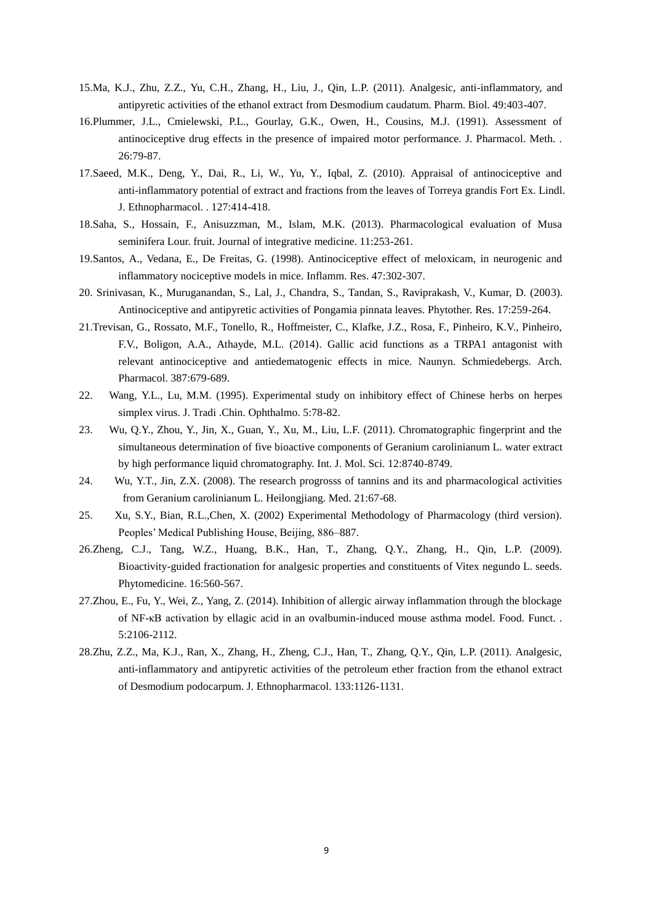- <span id="page-9-1"></span>15.Ma, K.J., Zhu, Z.Z., Yu, C.H., Zhang, H., Liu, J., Qin, L.P. (2011). Analgesic, anti-inflammatory, and antipyretic activities of the ethanol extract from Desmodium caudatum. Pharm. Biol. 49:403-407.
- <span id="page-9-7"></span>16.Plummer, J.L., Cmielewski, P.L., Gourlay, G.K., Owen, H., Cousins, M.J. (1991). Assessment of antinociceptive drug effects in the presence of impaired motor performance. J. Pharmacol. Meth. . 26:79-87.
- <span id="page-9-10"></span>17.Saeed, M.K., Deng, Y., Dai, R., Li, W., Yu, Y., Iqbal, Z. (2010). Appraisal of antinociceptive and anti-inflammatory potential of extract and fractions from the leaves of Torreya grandis Fort Ex. Lindl. J. Ethnopharmacol. . 127:414-418.
- <span id="page-9-3"></span>18.Saha, S., Hossain, F., Anisuzzman, M., Islam, M.K. (2013). Pharmacological evaluation of Musa seminifera Lour. fruit. Journal of integrative medicine. 11:253-261.
- <span id="page-9-9"></span>19.Santos, A., Vedana, E., De Freitas, G. (1998). Antinociceptive effect of meloxicam, in neurogenic and inflammatory nociceptive models in mice. Inflamm. Res. 47:302-307.
- <span id="page-9-6"></span>20. Srinivasan, K., Muruganandan, S., Lal, J., Chandra, S., Tandan, S., Raviprakash, V., Kumar, D. (2003). Antinociceptive and antipyretic activities of Pongamia pinnata leaves. Phytother. Res. 17:259-264.
- <span id="page-9-4"></span>21.Trevisan, G., Rossato, M.F., Tonello, R., Hoffmeister, C., Klafke, J.Z., Rosa, F., Pinheiro, K.V., Pinheiro, F.V., Boligon, A.A., Athayde, M.L. (2014). Gallic acid functions as a TRPA1 antagonist with relevant antinociceptive and antiedematogenic effects in mice. Naunyn. Schmiedebergs. Arch. Pharmacol. 387:679-689.
- 22. Wang, Y.L., Lu, M.M. (1995). Experimental study on inhibitory effect of Chinese herbs on herpes simplex virus. J. Tradi .Chin. Ophthalmo. 5:78-82.
- <span id="page-9-0"></span>23. Wu, Q.Y., Zhou, Y., Jin, X., Guan, Y., Xu, M., Liu, L.F. (2011). Chromatographic fingerprint and the simultaneous determination of five bioactive components of Geranium carolinianum L. water extract by high performance liquid chromatography. Int. J. Mol. Sci. 12:8740-8749.
- 24. Wu, Y.T., Jin, Z.X. (2008). The research progrosss of tannins and its and pharmacological activities from Geranium carolinianum L. Heilongjiang. Med. 21:67-68.
- 25. Xu, S.Y., Bian, R.L.,Chen, X. (2002) Experimental Methodology of Pharmacology (third version). Peoples' Medical Publishing House, Beijing, 886–887.
- <span id="page-9-2"></span>26.Zheng, C.J., Tang, W.Z., Huang, B.K., Han, T., Zhang, Q.Y., Zhang, H., Qin, L.P. (2009). Bioactivity-guided fractionation for analgesic properties and constituents of Vitex negundo L. seeds. Phytomedicine. 16:560-567.
- <span id="page-9-5"></span>27.Zhou, E., Fu, Y., Wei, Z., Yang, Z. (2014). Inhibition of allergic airway inflammation through the blockage of NF-κB activation by ellagic acid in an ovalbumin-induced mouse asthma model. Food. Funct. . 5:2106-2112.
- <span id="page-9-8"></span>28.Zhu, Z.Z., Ma, K.J., Ran, X., Zhang, H., Zheng, C.J., Han, T., Zhang, Q.Y., Qin, L.P. (2011). Analgesic, anti-inflammatory and antipyretic activities of the petroleum ether fraction from the ethanol extract of Desmodium podocarpum. J. Ethnopharmacol. 133:1126-1131.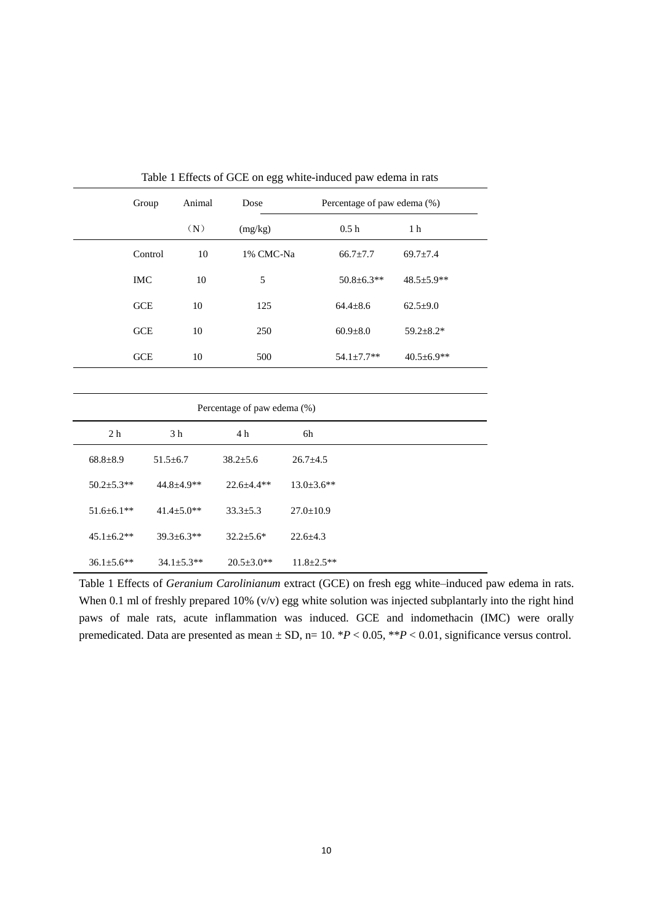|                  | Group      | Animal                           | Dose                        |                   | Percentage of paw edema (%) |                  |  |  |
|------------------|------------|----------------------------------|-----------------------------|-------------------|-----------------------------|------------------|--|--|
|                  |            | (N)                              | (mg/kg)                     |                   | 0.5h                        | 1 <sub>h</sub>   |  |  |
|                  | Control    | 10                               | 1% CMC-Na                   | $66.7 \pm 7.7$    |                             | $69.7 \pm 7.4$   |  |  |
|                  | <b>IMC</b> |                                  | 5                           |                   | $50.8 \pm 6.3**$            | $48.5 \pm 5.9**$ |  |  |
|                  | <b>GCE</b> |                                  | 125                         | $64.4 \pm 8.6$    |                             | $62.5 \pm 9.0$   |  |  |
|                  | <b>GCE</b> |                                  | 250                         | $60.9 \pm 8.0$    |                             | $59.2 \pm 8.2*$  |  |  |
|                  | <b>GCE</b> |                                  | 500                         | $54.1 \pm 7.7**$  |                             | $40.5 \pm 6.9**$ |  |  |
|                  |            |                                  |                             |                   |                             |                  |  |  |
|                  |            |                                  | Percentage of paw edema (%) |                   |                             |                  |  |  |
| 2 <sub>h</sub>   |            | 3 h                              | 4 h                         | 6h                |                             |                  |  |  |
| $68.8 \pm 8.9$   |            | $51.5 \pm 6.7$<br>$38.2 \pm 5.6$ |                             | $26.7 \pm 4.5$    |                             |                  |  |  |
| $50.2 \pm 5.3**$ |            | $44.8 \pm 4.9**$                 | $22.6 \pm 4.4**$            | $13.0 \pm 3.6$ ** |                             |                  |  |  |
| $51.6 \pm 6.1**$ |            | $41.4 \pm 5.0**$                 | $33.3 \pm 5.3$              | $27.0 \pm 10.9$   |                             |                  |  |  |

45.1±6.2\*\* 39.3±6.3\*\* 32.2±5.6\* 22.6±4.3

36.1±5.6\*\* 34.1±5.3\*\* 20.5±3.0\*\* 11.8±2.5\*\*

Table 1 Effects of GCE on egg white-induced paw edema in rats

Table 1 Effects of *Geranium Carolinianum* extract (GCE) on fresh egg white–induced paw edema in rats. When 0.1 ml of freshly prepared 10% (v/v) egg white solution was injected subplantarly into the right hind paws of male rats, acute inflammation was induced. GCE and indomethacin (IMC) were orally premedicated. Data are presented as mean ± SD, n= 10. \**P* < 0.05, \*\**P* < 0.01, significance versus control.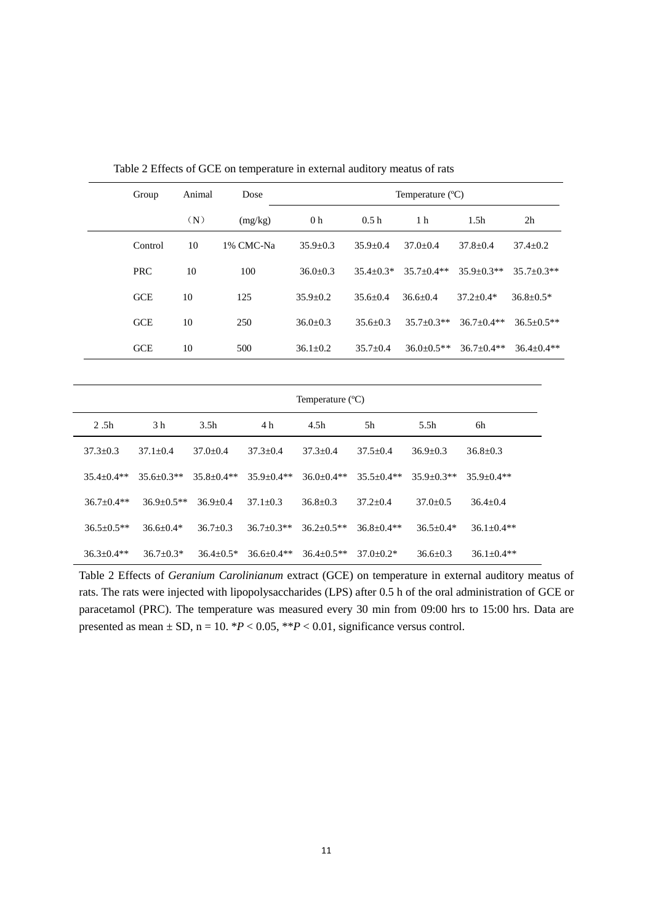| Group      | Animal | Dose      | Temperature $(^{\circ}C)$ |                |                  |                  |                  |
|------------|--------|-----------|---------------------------|----------------|------------------|------------------|------------------|
|            | (N)    | (mg/kg)   | 0 <sub>h</sub>            | 0.5h           | 1 <sub>h</sub>   | 1.5 <sub>h</sub> | 2 <sub>h</sub>   |
| Control    | 10     | 1% CMC-Na | $35.9 \pm 0.3$            | $35.9 + 0.4$   | $37.0 + 0.4$     | $37.8 + 0.4$     | $37.4 \pm 0.2$   |
| <b>PRC</b> | 10     | 100       | $36.0 \pm 0.3$            | $35.4 + 0.3*$  | $35.7 + 0.4**$   | $35.9 + 0.3**$   | $35.7 + 0.3**$   |
| GCE        | 10     | 125       | $35.9 \pm 0.2$            | $35.6 + 0.4$   | $36.6 + 0.4$     | $37.2 + 0.4*$    | $36.8 \pm 0.5*$  |
| <b>GCE</b> | 10     | 250       | $36.0 + 0.3$              | $35.6 + 0.3$   | $35.7 \pm 0.3**$ | $36.7+0.4**$     | $36.5 \pm 0.5**$ |
| <b>GCE</b> | 10     | 500       | $36.1 \pm 0.2$            | $35.7 \pm 0.4$ | $36.0 \pm 0.5**$ | $36.7 + 0.4**$   | $36.4 + 0.4**$   |

Table 2 Effects of GCE on temperature in external auditory meatus of rats

|                  | Temperature $(^{\circ}C)$ |                  |                  |                  |                |                |                  |  |
|------------------|---------------------------|------------------|------------------|------------------|----------------|----------------|------------------|--|
| 2.5h             | 3 <sub>h</sub>            | 3.5 <sub>h</sub> | 4 h              | 4.5h             | 5h             | 5.5h           | 6h               |  |
| $37.3 \pm 0.3$   | $37.1 + 0.4$              | $37.0 + 0.4$     | $37.3 + 0.4$     | $37.3 + 0.4$     | $37.5 + 0.4$   | $36.9 + 0.3$   | $36.8 \pm 0.3$   |  |
| $35.4 \pm 0.4**$ | $35.6 + 0.3**$            | $35.8 + 0.4**$   | $35.9 + 0.4**$   | $36.0 + 0.4**$   | $35.5 + 0.4**$ | $35.9 + 0.3**$ | $35.9 + 0.4**$   |  |
| $36.7 \pm 0.4**$ | $36.9 + 0.5**$            | $36.9 + 0.4$     | $37.1 + 0.3$     | $36.8 + 0.3$     | $37.2 + 0.4$   | $37.0 + 0.5$   | $36.4 + 0.4$     |  |
| $36.5 + 0.5**$   | $36.6 + 0.4*$             | $36.7+0.3$       | $36.7 + 0.3**$   | $36.2 + 0.5**$   | $36.8 + 0.4**$ | $36.5 + 0.4*$  | $36.1 + 0.4**$   |  |
| $36.3 \pm 0.4**$ | $36.7 + 0.3*$             | $36.4 \pm 0.5*$  | $36.6 \pm 0.4**$ | $36.4 \pm 0.5**$ | $37.0 + 0.2*$  | $36.6 \pm 0.3$ | $36.1 \pm 0.4**$ |  |

Table 2 Effects of *Geranium Carolinianum* extract (GCE) on temperature in external auditory meatus of rats. The rats were injected with lipopolysaccharides (LPS) after 0.5 h of the oral administration of GCE or paracetamol (PRC). The temperature was measured every 30 min from 09:00 hrs to 15:00 hrs. Data are presented as mean  $\pm$  SD, n = 10. \**P* < 0.05, \*\**P* < 0.01, significance versus control.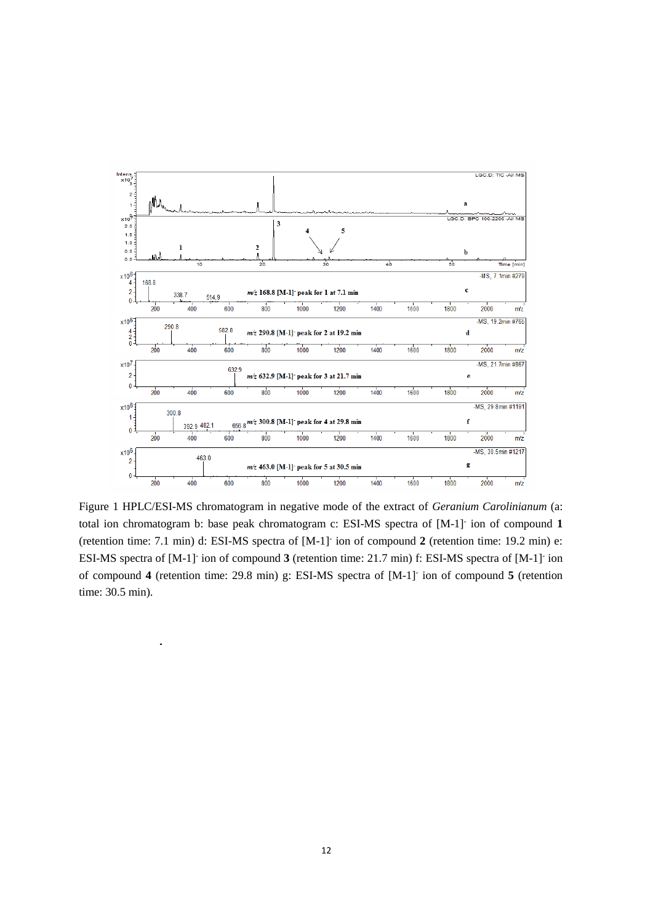

Figure 1 HPLC/ESI-MS chromatogram in negative mode of the extract of *Geranium Carolinianum* (a: total ion chromatogram b: base peak chromatogram c: ESI-MS spectra of [M-1]- ion of compound **1** (retention time: 7.1 min) d: ESI-MS spectra of [M-1]- ion of compound **2** (retention time: 19.2 min) e: ESI-MS spectra of [M-1]<sup>-</sup> ion of compound 3 (retention time: 21.7 min) f: ESI-MS spectra of [M-1]<sup>-</sup> ion of compound **4** (retention time: 29.8 min) g: ESI-MS spectra of [M-1]- ion of compound **5** (retention time: 30.5 min).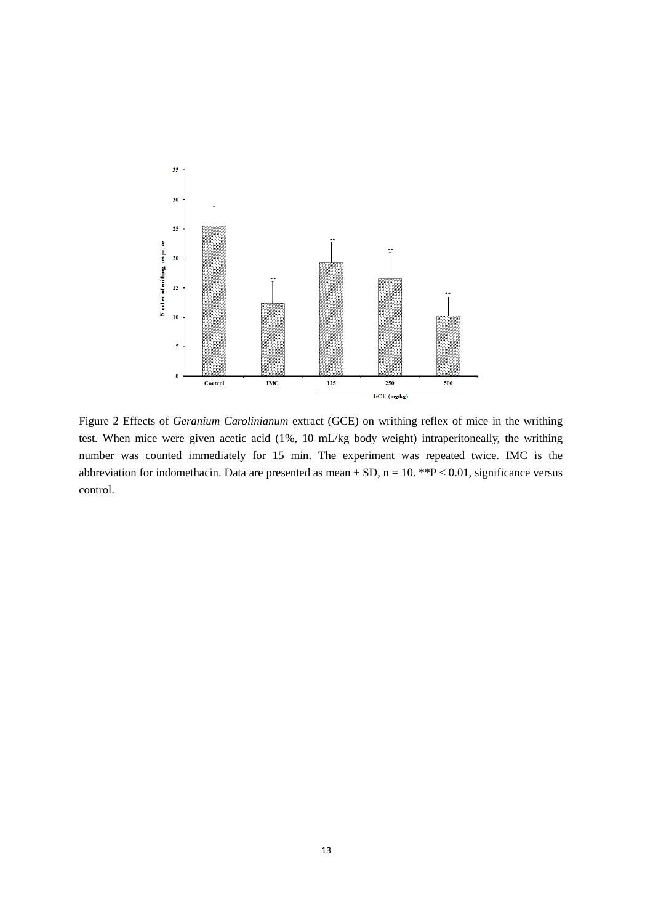

Figure 2 Effects of *Geranium Carolinianum* extract (GCE) on writhing reflex of mice in the writhing test. When mice were given acetic acid (1%, 10 mL/kg body weight) intraperitoneally, the writhing number was counted immediately for 15 min. The experiment was repeated twice. IMC is the abbreviation for indomethacin. Data are presented as mean  $\pm$  SD, n = 10. \*\*P < 0.01, significance versus control.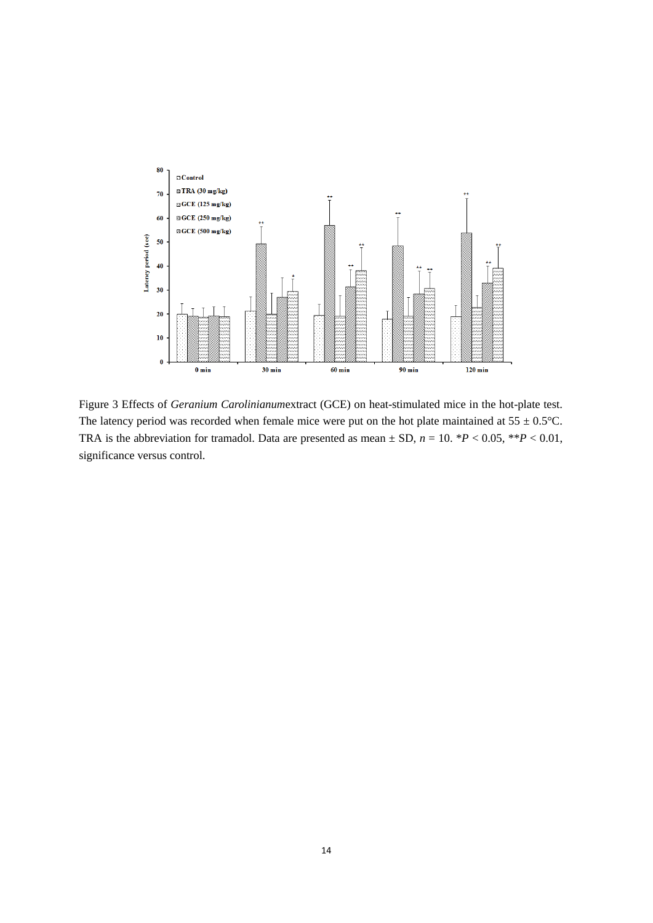

Figure 3 Effects of *Geranium Carolinianum*extract (GCE) on heat-stimulated mice in the hot-plate test. The latency period was recorded when female mice were put on the hot plate maintained at  $55 \pm 0.5^{\circ}$ C. TRA is the abbreviation for tramadol. Data are presented as mean  $\pm$  SD,  $n = 10$ . \**P* < 0.05, \*\**P* < 0.01, significance versus control.